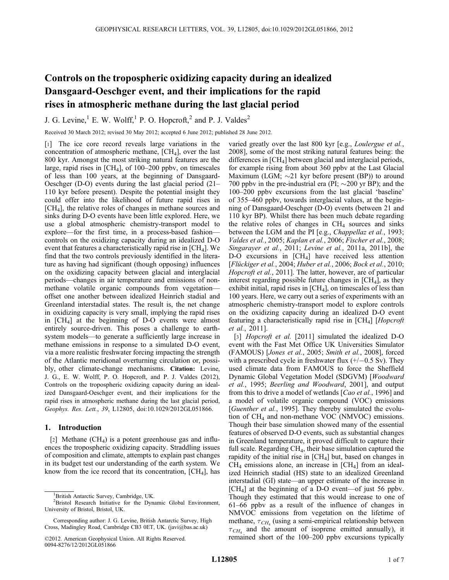# Controls on the tropospheric oxidizing capacity during an idealized Dansgaard-Oeschger event, and their implications for the rapid rises in atmospheric methane during the last glacial period

J. G. Levine,<sup>1</sup> E. W. Wolff,<sup>1</sup> P. O. Hopcroft,<sup>2</sup> and P. J. Valdes<sup>2</sup>

Received 30 March 2012; revised 30 May 2012; accepted 6 June 2012; published 28 June 2012.

[1] The ice core record reveals large variations in the concentration of atmospheric methane,  $[CH<sub>4</sub>]$ , over the last 800 kyr. Amongst the most striking natural features are the large, rapid rises in  $[CH_4]$ , of 100–200 ppbv, on timescales of less than 100 years, at the beginning of Dansgaard-Oeschger (D-O) events during the last glacial period (21– 110 kyr before present). Despite the potential insight they could offer into the likelihood of future rapid rises in [CH4], the relative roles of changes in methane sources and sinks during D-O events have been little explored. Here, we use a global atmospheric chemistry-transport model to explore—for the first time, in a process-based fashion controls on the oxidizing capacity during an idealized D-O event that features a characteristically rapid rise in  $\lbrack CH_4 \rbrack$ . We find that the two controls previously identified in the literature as having had significant (though opposing) influences on the oxidizing capacity between glacial and interglacial periods—changes in air temperature and emissions of nonmethane volatile organic compounds from vegetation offset one another between idealized Heinrich stadial and Greenland interstadial states. The result is, the net change in oxidizing capacity is very small, implying the rapid rises in  $\text{[CH}_4$  at the beginning of D-O events were almost entirely source-driven. This poses a challenge to earthsystem models—to generate a sufficiently large increase in methane emissions in response to a simulated D-O event, via a more realistic freshwater forcing impacting the strength of the Atlantic meridional overturning circulation or, possibly, other climate-change mechanisms. Citation: Levine, J. G., E. W. Wolff, P. O. Hopcroft, and P. J. Valdes (2012), Controls on the tropospheric oxidizing capacity during an idealized Dansgaard-Oeschger event, and their implications for the rapid rises in atmospheric methane during the last glacial period, Geophys. Res. Lett., 39, L12805, doi:10.1029/2012GL051866.

# 1. Introduction

[2] Methane  $(CH<sub>4</sub>)$  is a potent greenhouse gas and influences the tropospheric oxidizing capacity. Straddling issues of composition and climate, attempts to explain past changes in its budget test our understanding of the earth system. We know from the ice record that its concentration,  $[CH<sub>4</sub>]$ , has

varied greatly over the last 800 kyr [e.g., Loulergue et al., 2008], some of the most striking natural features being: the differences in  $\text{[CH}_4\text{]}$  between glacial and interglacial periods, for example rising from about 360 ppbv at the Last Glacial Maximum (LGM;  $\sim$ 21 kyr before present (BP)) to around 700 ppbv in the pre-industrial era (PI;  $\sim$ 200 yr BP); and the 100–200 ppbv excursions from the last glacial 'baseline' of 355–460 ppbv, towards interglacial values, at the beginning of Dansgaard-Oeschger (D-O) events (between 21 and 110 kyr BP). Whilst there has been much debate regarding the relative roles of changes in  $CH<sub>4</sub>$  sources and sinks between the LGM and the PI [e.g., *Chappellaz et al.*, 1993; Valdes et al., 2005; Kaplan et al., 2006; Fischer et al., 2008; Singarayer et al., 2011; Levine et al., 2011a, 2011b], the D-O excursions in  $[CH_4]$  have received less attention [Flückiger et al., 2004; Huber et al., 2006; Bock et al., 2010; Hopcroft et al., 2011]. The latter, however, are of particular interest regarding possible future changes in  $[CH_4]$ , as they exhibit initial, rapid rises in  $[CH<sub>4</sub>]$ , on timescales of less than 100 years. Here, we carry out a series of experiments with an atmospheric chemistry-transport model to explore controls on the oxidizing capacity during an idealized D-O event featuring a characteristically rapid rise in  $\lbrack CH_4 \rbrack$  [Hopcroft] et al., 2011].

[3] Hopcroft et al. [2011] simulated the idealized D-O event with the Fast Met Office UK Universities Simulator (FAMOUS) [Jones et al., 2005; Smith et al., 2008], forced with a prescribed cycle in freshwater flux  $(+/-0.5 \text{ Sv})$ . They used climate data from FAMOUS to force the Sheffield Dynamic Global Vegetation Model (SDGVM) [Woodward et al., 1995; Beerling and Woodward, 2001], and output from this to drive a model of wetlands [*Cao et al.*, 1996] and a model of volatile organic compound (VOC) emissions [Guenther et al., 1995]. They thereby simulated the evolution of  $CH_4$  and non-methane VOC (NMVOC) emissions. Though their base simulation showed many of the essential features of observed D-O events, such as substantial changes in Greenland temperature, it proved difficult to capture their full scale. Regarding CH<sub>4</sub>, their base simulation captured the rapidity of the initial rise in  $[CH<sub>4</sub>]$  but, based on changes in  $CH<sub>4</sub>$  emissions alone, an increase in [CH<sub>4</sub>] from an idealized Heinrich stadial (HS) state to an idealized Greenland interstadial (GI) state—an upper estimate of the increase in  $[CH<sub>4</sub>]$  at the beginning of a D-O event—of just 56 ppbv. Though they estimated that this would increase to one of 61–66 ppbv as a result of the influence of changes in NMVOC emissions from vegetation on the lifetime of methane,  $\tau_{CH}$  (using a semi-empirical relationship between  $\tau_{CH}$  and the amount of isoprene emitted annually), it remained short of the 100–200 ppbv excursions typically

<sup>&</sup>lt;sup>1</sup>British Antarctic Survey, Cambridge, UK.

<sup>2</sup> Bristol Research Initiative for the Dynamic Global Environment, University of Bristol, Bristol, UK.

Corresponding author: J. G. Levine, British Antarctic Survey, High Cross, Madingley Road, Cambridge CB3 0ET, UK. (javi@bas.ac.uk)

<sup>©2012.</sup> American Geophysical Union. All Rights Reserved. 0094-8276/12/2012GL051866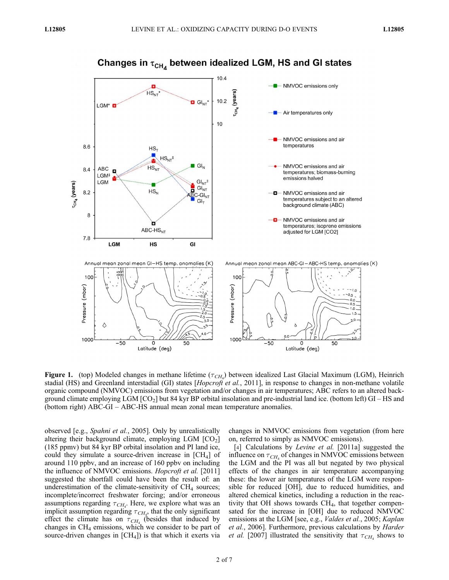

# Changes in  $\tau_{CH_4}$  between idealized LGM, HS and GI states

Figure 1. (top) Modeled changes in methane lifetime ( $\tau$ CH<sub>4</sub>) between idealized Last Glacial Maximum (LGM), Heinrich stadial (HS) and Greenland interstadial (GI) states [Hopcroft et al., 2011], in response to changes in non-methane volatile organic compound (NMVOC) emissions from vegetation and/or changes in air temperatures; ABC refers to an altered background climate employing  $LGM$   $[CO<sub>2</sub>]$  but 84 kyr BP orbital insolation and pre-industrial land ice. (bottom left)  $GI - HS$  and (bottom right) ABC-GI – ABC-HS annual mean zonal mean temperature anomalies.

observed [e.g., Spahni et al., 2005]. Only by unrealistically altering their background climate, employing LGM  $[CO<sub>2</sub>]$ (185 ppmv) but 84 kyr BP orbital insolation and PI land ice, could they simulate a source-driven increase in [CH4] of around 110 ppbv, and an increase of 160 ppbv on including the influence of NMVOC emissions. *Hopcroft et al.* [2011] suggested the shortfall could have been the result of: an underestimation of the climate-sensitivity of  $CH<sub>4</sub>$  sources; incomplete/incorrect freshwater forcing; and/or erroneous assumptions regarding  $\tau_{CH_4}$ . Here, we explore what was an implicit assumption regarding  $\tau_{CH_4}$ , that the only significant effect the climate has on  $\tau_{CH_4}$  (besides that induced by changes in  $CH<sub>4</sub>$  emissions, which we consider to be part of source-driven changes in  $[CH_4]$ ) is that which it exerts via

changes in NMVOC emissions from vegetation (from here on, referred to simply as NMVOC emissions).

[4] Calculations by Levine et al. [2011a] suggested the influence on  $\tau_{CH_4}$  of changes in NMVOC emissions between the LGM and the PI was all but negated by two physical effects of the changes in air temperature accompanying these: the lower air temperatures of the LGM were responsible for reduced [OH], due to reduced humidities, and altered chemical kinetics, including a reduction in the reactivity that OH shows towards CH4, that together compensated for the increase in [OH] due to reduced NMVOC emissions at the LGM [see, e.g., *Valdes et al.*, 2005; *Kaplan* et al., 2006]. Furthermore, previous calculations by Harder *et al.* [2007] illustrated the sensitivity that  $\tau_{CH_4}$  shows to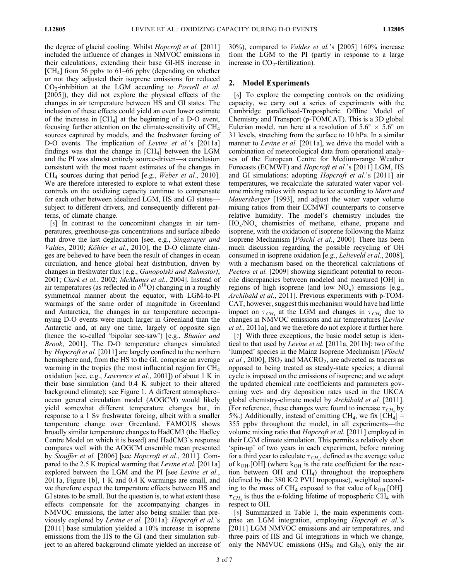the degree of glacial cooling. Whilst *Hopcroft et al.* [2011] included the influence of changes in NMVOC emissions in their calculations, extending their base GI-HS increase in  $[CH<sub>4</sub>]$  from 56 ppbv to 61–66 ppbv (depending on whether or not they adjusted their isoprene emissions for reduced  $CO<sub>2</sub>$ -inhibition at the LGM according to *Possell et al.* [2005]), they did not explore the physical effects of the changes in air temperature between HS and GI states. The inclusion of these effects could yield an even lower estimate of the increase in  $[CH_4]$  at the beginning of a D-O event, focusing further attention on the climate-sensitivity of  $CH<sub>4</sub>$ sources captured by models, and the freshwater forcing of D-O events. The implication of *Levine et al.*'s [2011a] findings was that the change in  $[CH<sub>4</sub>]$  between the LGM and the PI was almost entirely source-driven—a conclusion consistent with the most recent estimates of the changes in  $CH<sub>4</sub>$  sources during that period [e.g., *Weber et al.*, 2010]. We are therefore interested to explore to what extent these controls on the oxidizing capacity continue to compensate for each other between idealized LGM, HS and GI states subject to different drivers, and consequently different patterns, of climate change.

[5] In contrast to the concomitant changes in air temperatures, greenhouse-gas concentrations and surface albedo that drove the last deglaciation [see, e.g., Singarayer and Valdes, 2010; Köhler et al., 2010], the D-O climate changes are believed to have been the result of changes in ocean circulation, and hence global heat distribution, driven by changes in freshwater flux [e.g., Ganopolski and Rahmstorf, 2001; Clark et al., 2002; McManus et al., 2004]. Instead of air temperatures (as reflected in  $\delta^{18}$ O) changing in a roughly symmetrical manner about the equator, with LGM-to-PI warmings of the same order of magnitude in Greenland and Antarctica, the changes in air temperature accompanying D-O events were much larger in Greenland than the Antarctic and, at any one time, largely of opposite sign (hence the so-called 'bipolar see-saw') [e.g., Blunier and Brook, 2001]. The D-O temperature changes simulated by *Hopcroft et al.* [2011] are largely confined to the northern hemisphere and, from the HS to the GI, comprise an average warming in the tropics (the most influential region for CH4 oxidation [see, e.g., *Lawrence et al.*, 2001]) of about 1 K in their base simulation (and 0.4 K subject to their altered background climate); see Figure 1. A different atmosphere– ocean general circulation model (AOGCM) would likely yield somewhat different temperature changes but, in response to a 1 Sv freshwater forcing, albeit with a smaller temperature change over Greenland, FAMOUS shows broadly similar temperature changes to HadCM3 (the Hadley Centre Model on which it is based) and HadCM3's response compares well with the AOGCM ensemble mean presented by Stouffer et al. [2006] [see Hopcroft et al., 2011]. Compared to the 2.5 K tropical warming that Levine et al. [2011a] explored between the LGM and the PI [see *Levine et al.*, 2011a, Figure 1b], 1 K and 0.4 K warmings are small, and we therefore expect the temperature effects between HS and GI states to be small. But the question is, to what extent these effects compensate for the accompanying changes in NMVOC emissions, the latter also being smaller than previously explored by Levine et al. [2011a]: Hopcroft et al.'s [2011] base simulation yielded a 10% increase in isoprene emissions from the HS to the GI (and their simulation subject to an altered background climate yielded an increase of 30%), compared to Valdes et al.'s [2005] 160% increase from the LGM to the PI (partly in response to a large increase in  $CO<sub>2</sub>$ -fertilization).

## 2. Model Experiments

[6] To explore the competing controls on the oxidizing capacity, we carry out a series of experiments with the Cambridge parallelised-Tropospheric Offline Model of Chemistry and Transport (p-TOMCAT). This is a 3D global Eulerian model, run here at a resolution of  $5.6^{\circ} \times 5.6^{\circ}$  on 31 levels, stretching from the surface to 10 hPa. In a similar manner to *Levine et al.* [2011a], we drive the model with a combination of meteorological data from operational analyses of the European Centre for Medium-range Weather Forecasts (ECMWF) and Hopcroft et al.'s [2011] LGM, HS and GI simulations: adopting *Hopcroft et al.*'s [2011] air temperatures, we recalculate the saturated water vapor volume mixing ratios with respect to ice according to *Marti and* Mauersberger [1993], and adjust the water vapor volume mixing ratios from their ECMWF counterparts to conserve relative humidity. The model's chemistry includes the  $HO_x/NO_x$  chemistries of methane, ethane, propane and isoprene, with the oxidation of isoprene following the Mainz Isoprene Mechanism [Pöschl et al., 2000]. There has been much discussion regarding the possible recycling of OH consumed in isoprene oxidation [e.g., Lelieveld et al., 2008], with a mechanism based on the theoretical calculations of Peeters et al. [2009] showing significant potential to reconcile discrepancies between modeled and measured [OH] in regions of high isoprene (and low  $NO_x$ ) emissions [e.g., Archibald et al., 2011]. Previous experiments with p-TOM-CAT, however, suggest this mechanism would have had little impact on  $\tau_{CH_4}$  at the LGM and changes in  $\tau_{CH_4}$  due to changes in NMVOC emissions and air temperatures [Levine et al., 2011a], and we therefore do not explore it further here.

[7] With three exceptions, the basic model setup is identical to that used by Levine et al. [2011a, 2011b]: two of the 'lumped' species in the Mainz Isoprene Mechanism [Pöschl *et al.*, 2000], ISO<sub>2</sub> and MACRO<sub>2</sub>, are advected as tracers as opposed to being treated as steady-state species; a diurnal cycle is imposed on the emissions of isoprene; and we adopt the updated chemical rate coefficients and parameters governing wet- and dry deposition rates used in the UKCA global chemistry-climate model by Archibald et al. [2011]. (For reference, these changes were found to increase  $\tau_{CH}$  by 5%.) Additionally, instead of emitting CH<sub>4</sub>, we fix  $[CH_4] =$ 355 ppbv throughout the model, in all experiments—the volume mixing ratio that Hopcroft et al. [2011] employed in their LGM climate simulation. This permits a relatively short 'spin-up' of two years in each experiment, before running for a third year to calculate  $\tau_{CH_4}$ , defined as the average value of  $k_{OH}$ .[OH] (where  $k_{OH}$  is the rate coefficient for the reaction between OH and CH4) throughout the troposphere (defined by the 380 K/2 PVU tropopause), weighted according to the mass of  $CH_4$  exposed to that value of  $k_{OH}$ . [OH].  $\tau_{CH}$  is thus the e-folding lifetime of tropospheric CH<sub>4</sub> with respect to OH.

[8] Summarized in Table 1, the main experiments comprise an LGM integration, employing Hopcroft et al.'s [2011] LGM NMVOC emissions and air temperatures, and three pairs of HS and GI integrations in which we change, only the NMVOC emissions ( $\text{HS}_{\text{N}}$  and  $\text{GI}_{\text{N}}$ ), only the air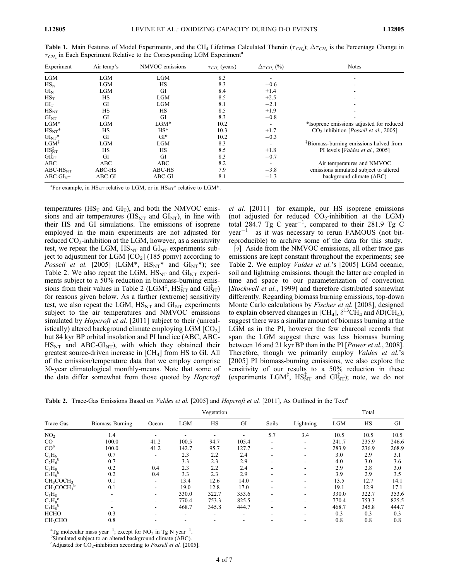| Experiment              | Air temp's | NMVOC emissions | $\tau_{CH_{4}}$ (years) | $\Delta \tau_{CH_{4}}$ (%) | <b>Notes</b>                                                |  |  |
|-------------------------|------------|-----------------|-------------------------|----------------------------|-------------------------------------------------------------|--|--|
| <b>LGM</b>              | <b>LGM</b> | <b>LGM</b>      | 8.3                     |                            |                                                             |  |  |
| $HS_N$                  | LGM        | <b>HS</b>       | 8.3                     | $-0.6$                     |                                                             |  |  |
| $GI_{N}$                | <b>LGM</b> | GI              | 8.4                     | $+1.4$                     |                                                             |  |  |
| $HS_T$                  | HS         | LGM             | 8.5                     | $+2.5$                     |                                                             |  |  |
| $GI_T$                  | GI         | LGM             | 8.1                     | $-2.1$                     |                                                             |  |  |
| $HS_{NT}$               | HS         | <b>HS</b>       | 8.5                     | $+1.9$                     |                                                             |  |  |
| $GI_{NT}$               | GI         | GI              | 8.3                     | $-0.8$                     |                                                             |  |  |
| $LGM*$                  | <b>LGM</b> | $LGM*$          | 10.2                    | $\overline{\phantom{a}}$   | *Isoprene emissions adjusted for reduced                    |  |  |
| $HS_{NT}^*$             | <b>HS</b>  | $HS^*$          | 10.3                    | $+1.7$                     | CO <sub>2</sub> -inhibition [ <i>Possell et al.</i> , 2005] |  |  |
| $GI_{NT}$ *             | GI         | $GI*$           | 10.2                    | $-0.3$                     |                                                             |  |  |
| LGM <sub>1</sub>        | <b>LGM</b> | LGM             | 8.3                     |                            | <sup>‡</sup> Biomass-burning emissions halved from          |  |  |
| $HS_{NT}^{\mathcal{I}}$ | HS         | <b>HS</b>       | 8.5                     | $+1.8$                     | PI levels [Valdes et al., 2005]                             |  |  |
| GI <sub>NT</sub>        | GI         | <b>GI</b>       | 8.3                     | $-0.7$                     |                                                             |  |  |
| ABC                     | ABC        | ABC             | 8.2                     |                            | Air temperatures and NMVOC                                  |  |  |
| $ABC$ - $HSNT$          | ABC-HS     | ABC-HS          | 7.9                     | $-3.8$                     | emissions simulated subject to altered                      |  |  |
| $ABC-GINT$              | ABC-GI     | ABC-GI          | 8.1                     | $-1.3$                     | background climate (ABC)                                    |  |  |

**Table 1.** Main Features of Model Experiments, and the CH<sub>4</sub> Lifetimes Calculated Therein ( $\tau_{CH_4}$ );  $\Delta \tau_{CH_4}$  is the Percentage Change in  $\tau_{CH_4}$  in Each Experiment Relative to the Corresponding LGM Experiment<sup>a</sup>

<sup>a</sup>For example, in HS<sub>NT</sub> relative to LGM, or in HS<sub>NT</sub>\* relative to LGM\*.

temperatures ( $\text{HS}_{\text{T}}$  and  $\text{GI}_{\text{T}}$ ), and both the NMVOC emissions and air temperatures ( $\text{HS}_{\text{NT}}$  and  $\text{GI}_{\text{NT}}$ ), in line with their HS and GI simulations. The emissions of isoprene employed in the main experiments are not adjusted for reduced  $CO_2$ -inhibition at the LGM, however, as a sensitivity test, we repeat the LGM,  $\text{HS}_{\text{NT}}$  and  $\text{GI}_{\text{NT}}$  experiments subject to adjustment for LGM  $[CO<sub>2</sub>]$  (185 ppmv) according to *Possell et al.* [2005] (LGM\*,  $\text{HS}_{\text{NT}}$ \* and  $\text{GI}_{\text{NT}}$ \*); see Table 2. We also repeat the LGM,  $\text{HS}_{\text{NT}}$  and  $\text{GI}_{\text{NT}}$  experiments subject to a 50% reduction in biomass-burning emissions from their values in Table 2 (LGM<sup>‡</sup>, HS<sup>‡</sup><sub>NT</sub> and GI<sup>‡</sup><sub>NT</sub>) for reasons given below. As a further (extreme) sensitivity test, we also repeat the LGM,  $\text{HS}_{\text{NT}}$  and  $\text{GI}_{\text{NT}}$  experiments subject to the air temperatures and NMVOC emissions simulated by *Hopcroft et al.* [2011] subject to their (unrealistically) altered background climate employing  $LGM$   $[CO<sub>2</sub>]$ but 84 kyr BP orbital insolation and PI land ice (ABC, ABC- $HS_{\text{NT}}$  and ABC-GI<sub>NT</sub>), with which they obtained their greatest source-driven increase in [CH4] from HS to GI. All of the emission/temperature data that we employ comprise 30-year climatological monthly-means. Note that some of the data differ somewhat from those quoted by *Hopcroft* 

et al. [2011]—for example, our HS isoprene emissions (not adjusted for reduced  $CO<sub>2</sub>$ -inhibition at the LGM) total 284.7 Tg C year<sup>-1</sup>, compared to their 281.9 Tg C year<sup>-1</sup> as it was necessary to rerun FAMOUS (not bitreproducible) to archive some of the data for this study.

[9] Aside from the NMVOC emissions, all other trace gas emissions are kept constant throughout the experiments; see Table 2. We employ *Valdes et al.*'s [2005] LGM oceanic, soil and lightning emissions, though the latter are coupled in time and space to our parameterization of convection [Stockwell et al., 1999] and therefore distributed somewhat differently. Regarding biomass burning emissions, top-down Monte Carlo calculations by Fischer et al. [2008], designed to explain observed changes in [CH<sub>4</sub>],  $\delta^{13}CH_4$  and  $\delta D(\tilde{CH}_4)$ , suggest there was a similar amount of biomass burning at the LGM as in the PI, however the few charcoal records that span the LGM suggest there was less biomass burning between 16 and 21 kyr BP than in the PI [Power et al., 2008]. Therefore, though we primarily employ *Valdes et al.*'s [2005] PI biomass-burning emissions, we also explore the sensitivity of our results to a 50% reduction in these (experiments LGM<sup>‡</sup>, HS<sup>‡</sup><sub>NT</sub> and GI<sup> $\ddagger$ </sup><sub>NT</sub>); note, we do not

Table 2. Trace-Gas Emissions Based on *Valdes et al.* [2005] and *Hopcroft et al.* [2011], As Outlined in the Text<sup>a</sup>

| Trace Gas                                   | <b>Biomass Burning</b> | Ocean | Vegetation |       |       |       | Total     |       |       |       |
|---------------------------------------------|------------------------|-------|------------|-------|-------|-------|-----------|-------|-------|-------|
|                                             |                        |       | <b>LGM</b> | HS    | GI    | Soils | Lightning | LGM   | HS    | GI    |
| NO <sub>2</sub>                             | 1.4                    |       |            |       |       | 5.7   | 3.4       | 10.5  | 10.5  | 10.5  |
| $\rm CO$                                    | 100.0                  | 41.2  | 100.5      | 94.7  | 105.4 | ۰.    | Ξ.        | 241.7 | 235.9 | 246.6 |
| CO <sup>b</sup>                             | 100.0                  | 41.2  | 142.7      | 95.7  | 127.7 |       | ۰         | 283.9 | 236.9 | 268.9 |
| $C_2H_6$                                    | 0.7                    |       | 2.3        | 2.2   | 2.4   |       | ۰         | 3.0   | 2.9   | 3.1   |
| $C_2H_6^b$                                  | 0.7                    |       | 3.3        | 2.3   | 2.9   |       |           | 4.0   | 3.0   | 3.6   |
| $\frac{\mathrm{C_3H_8}}{\mathrm{C_3H_8}^b}$ | 0.2                    | 0.4   | 2.3        | 2.2   | 2.4   |       |           | 2.9   | 2.8   | 3.0   |
|                                             | 0.2                    | 0.4   | 3.3        | 2.3   | 2.9   |       |           | 3.9   | 2.9   | 3.5   |
| CH <sub>3</sub> COCH <sub>3</sub>           | 0.1                    |       | 13.4       | 12.6  | 14.0  |       |           | 13.5  | 12.7  | 14.1  |
| $CH3COCH3b$                                 | 0.1                    |       | 19.0       | 12.8  | 17.0  |       |           | 19.1  | 12.9  | 17.1  |
| $\rm{C_5H_8}$                               |                        |       | 330.0      | 322.7 | 353.6 |       |           | 330.0 | 322.7 | 353.6 |
| $C_5H_8^c$                                  |                        |       | 770.4      | 753.3 | 825.5 |       | ۰         | 770.4 | 753.3 | 825.5 |
| $C_5H_8^{\ b}$                              |                        |       | 468.7      | 345.8 | 444.7 | -     | ۰         | 468.7 | 345.8 | 444.7 |
| <b>HCHO</b>                                 | 0.3                    |       |            |       | -     |       | ۰         | 0.3   | 0.3   | 0.3   |
| CH <sub>3</sub> CHO                         | 0.8                    |       |            |       |       |       |           | 0.8   | 0.8   | 0.8   |

<sup>a</sup>Tg molecular mass year<sup>-1</sup>; except for NO<sub>2</sub> in Tg N year<sup>-1</sup>.<br><sup>b</sup>Simulated subject to an altered background climate (ABC).

<sup>b</sup>Simulated subject to an altered background climate (ABC).

<sup>c</sup>Adjusted for  $CO_2$ -inhibition according to *Possell et al.* [2005].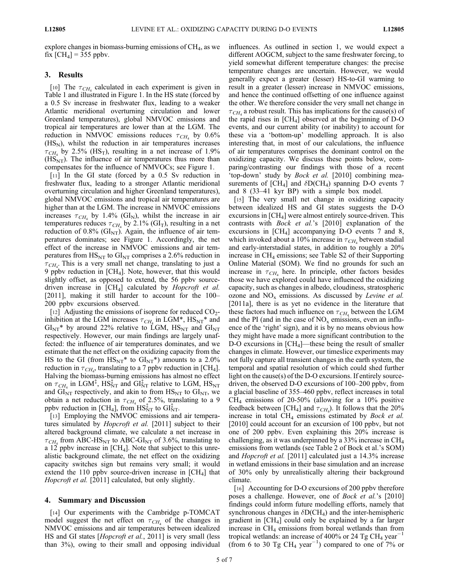explore changes in biomass-burning emissions of  $CH<sub>4</sub>$ , as we fix  $\text{[CH}_4$  = 355 ppbv.

### 3. Results

[10] The  $\tau_{CH_4}$  calculated in each experiment is given in Table 1 and illustrated in Figure 1. In the HS state (forced by a 0.5 Sv increase in freshwater flux, leading to a weaker Atlantic meridional overturning circulation and lower Greenland temperatures), global NMVOC emissions and tropical air temperatures are lower than at the LGM. The reduction in NMVOC emissions reduces  $\tau_{CH_4}$  by 0.6%  $(HS_N)$ , whilst the reduction in air temperatures increases  $\tau_{CH_4}$  by 2.5% (HS<sub>T</sub>), resulting in a net increase of 1.9%  $(HS<sub>NT</sub>)$ . The influence of air temperatures thus more than compensates for the influence of NMVOCs; see Figure 1.

[11] In the GI state (forced by a 0.5 Sv reduction in freshwater flux, leading to a stronger Atlantic meridional overturning circulation and higher Greenland temperatures), global NMVOC emissions and tropical air temperatures are higher than at the LGM. The increase in NMVOC emissions increases  $\tau_{CH_4}$  by 1.4% (GI<sub>N</sub>), whilst the increase in air temperatures reduces  $\tau_{CH_4}$  by 2.1% (GI<sub>T</sub>), resulting in a net reduction of 0.8% ( $GI_{NT}$ ). Again, the influence of air temperatures dominates; see Figure 1. Accordingly, the net effect of the increase in NMVOC emissions and air temperatures from  $\text{HS}_{\text{NT}}$  to  $\text{GI}_{\text{NT}}$  comprises a 2.6% reduction in  $\tau_{CH_4}$ . This is a very small net change, translating to just a 9 ppbv reduction in  $[CH_4]$ . Note, however, that this would slightly offset, as opposed to extend, the 56 ppbv sourcedriven increase in  $\text{[CH}_4\text{]}$  calculated by *Hopcroft et al.* [2011], making it still harder to account for the 100– 200 ppbv excursions observed.

[12] Adjusting the emissions of isoprene for reduced  $CO<sub>2</sub>$ inhibition at the LGM increases  $\tau_{CH_4}$  in LGM\*,  $\text{HS}_{\text{NT}}$ \* and  $GI_{\text{NT}}$ <sup>\*</sup> by around 22% relative to LGM,  $HS_{\text{NT}}$  and  $GI_{\text{NT}}$ respectively. However, our main findings are largely unaffected: the influence of air temperatures dominates, and we estimate that the net effect on the oxidizing capacity from the HS to the GI (from  $\text{HS}_{\text{NT}}^*$  to  $\text{GI}_{\text{NT}}^*$ ) amounts to a 2.0% reduction in  $\tau_{CH_4}$ , translating to a 7 ppbv reduction in [CH<sub>4</sub>]. Halving the biomass-burning emissions has almost no effect on  $\tau_{CH_4}$  in LGM<sup>‡</sup>, HS<sub>NT</sub> and GI<sub>NT</sub> relative to LGM, HS<sub>NT</sub> and  $GI<sub>NT</sub>$  respectively, and akin to from  $HS<sub>NT</sub>$  to  $GI<sub>NT</sub>$ , we obtain a net reduction in  $\tau_{CH_4}$  of 2.5%, translating to a 9 ppbv reduction in [CH<sub>4</sub>], from  $\text{HS}_{\text{NT}}^{\ddagger}$  to  $\text{GH}_{\text{NT}}^{\ddagger}$ .

[13] Employing the NMVOC emissions and air temperatures simulated by *Hopcroft et al.* [2011] subject to their altered background climate, we calculate a net increase in  $\tau_{CH}$  from ABC-HS<sub>NT</sub> to ABC-GI<sub>NT</sub> of 3.6%, translating to a 12 ppbv increase in  $[CH_4]$ . Note that subject to this unrealistic background climate, the net effect on the oxidizing capacity switches sign but remains very small; it would extend the 110 ppbv source-driven increase in  $[CH<sub>4</sub>]$  that Hopcroft et al. [2011] calculated, but only slightly.

#### 4. Summary and Discussion

[14] Our experiments with the Cambridge p-TOMCAT model suggest the net effect on  $\tau_{CH_4}$  of the changes in NMVOC emissions and air temperatures between idealized HS and GI states [Hopcroft et al., 2011] is very small (less than 3%), owing to their small and opposing individual influences. As outlined in section 1, we would expect a different AOGCM, subject to the same freshwater forcing, to yield somewhat different temperature changes: the precise temperature changes are uncertain. However, we would generally expect a greater (lesser) HS-to-GI warming to result in a greater (lesser) increase in NMVOC emissions, and hence the continued offsetting of one influence against the other. We therefore consider the very small net change in  $\tau_{CH_4}$  a robust result. This has implications for the cause(s) of the rapid rises in  $\text{[CH}_4\text{]}$  observed at the beginning of D-O events, and our current ability (or inability) to account for these via a 'bottom-up' modelling approach. It is also interesting that, in most of our calculations, the influence of air temperatures comprises the dominant control on the oxidizing capacity. We discuss these points below, comparing/contrasting our findings with those of a recent 'top-down' study by Bock et al. [2010] combining measurements of  $\text{[CH}_4\text{]}$  and  $\delta\text{D}(\text{CH}_4)$  spanning D-O events 7 and 8 (33–41 kyr BP) with a simple box model.

[15] The very small net change in oxidizing capacity between idealized HS and GI states suggests the D-O excursions in  $\text{[CH}_4\text{]}$  were almost entirely source-driven. This contrasts with Bock et al.'s [2010] explanation of the excursions in  $[CH_4]$  accompanying D-O events 7 and 8, which invoked about a 10% increase in  $\tau_{CH_4}$  between stadial and early-interstadial states, in addition to roughly a 20% increase in CH4 emissions; see Table S2 of their Supporting Online Material (SOM). We find no grounds for such an increase in  $\tau$ <sub>CH4</sub> here. In principle, other factors besides those we have explored could have influenced the oxidizing capacity, such as changes in albedo, cloudiness, stratospheric ozone and  $NO_x$  emissions. As discussed by *Levine et al.* [2011a], there is as yet no evidence in the literature that these factors had much influence on  $\tau_{CH_4}$  between the LGM and the PI (and in the case of  $NO<sub>x</sub>$  emissions, even an influence of the 'right' sign), and it is by no means obvious how they might have made a more significant contribution to the D-O excursions in  $\text{[CH}_4$ —these being the result of smaller changes in climate. However, our timeslice experiments may not fully capture all transient changes in the earth system, the temporal and spatial resolution of which could shed further light on the cause(s) of the D-O excursions. If entirely sourcedriven, the observed D-O excursions of 100–200 ppbv, from a glacial baseline of 355–460 ppbv, reflect increases in total  $CH<sub>4</sub>$  emissions of 20-50% (allowing for a 10% positive feedback between [CH<sub>4</sub>] and  $\tau$ <sub>CH<sub>4</sub></sub>). It follows that the 20% increase in total  $CH_4$  emissions estimated by *Bock et al.* [2010] could account for an excursion of 100 ppbv, but not one of 200 ppbv. Even explaining this 20% increase is challenging, as it was underpinned by a  $33\%$  increase in CH<sub>4</sub> emissions from wetlands (see Table 2 of Bock et al.'s SOM) and Hopcroft et al. [2011] calculated just a 14.3% increase in wetland emissions in their base simulation and an increase of 30% only by unrealistically altering their background climate.

[16] Accounting for D-O excursions of 200 ppby therefore poses a challenge. However, one of Bock et al.'s [2010] findings could inform future modelling efforts, namely that synchronous changes in  $\delta DCH_4$ ) and the inter-hemispheric gradient in  $[CH<sub>4</sub>]$  could only be explained by a far larger increase in  $CH<sub>4</sub>$  emissions from boreal wetlands than from tropical wetlands: an increase of 400% or 24 Tg CH<sub>4</sub> year<sup>-1</sup> (from 6 to 30 Tg CH<sub>4</sub> year<sup>-1</sup>) compared to one of 7% or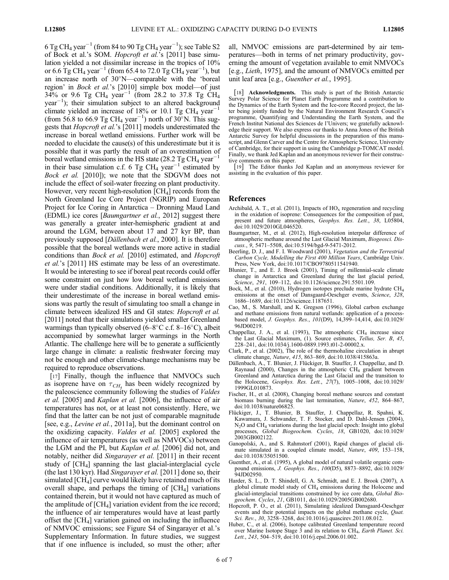6 Tg CH<sub>4</sub> year<sup>-1</sup> (from 84 to 90 Tg CH<sub>4</sub> year<sup>-1</sup>); see Table S2 of Bock et al.'s SOM. Hopcroft et al.'s [2011] base simulation yielded a not dissimilar increase in the tropics of 10% or 6.6 Tg CH<sub>4</sub> year<sup>-1</sup> (from 65.4 to 72.0 Tg CH<sub>4</sub> year<sup>-1</sup>), but an increase north of  $30^{\circ}$ N—comparable with the 'boreal region' in Bock et al.'s [2010] simple box model-of just 34% or 9.6 Tg CH<sub>4</sub> year<sup>-1</sup> (from 28.2 to 37.8 Tg CH<sub>4</sub>  $year<sup>-1</sup>$ ); their simulation subject to an altered background climate yielded an increase of 18% or 10.1 Tg CH<sub>4</sub> year<sup>-1</sup> (from 56.8 to 66.9 Tg CH<sub>4</sub> year<sup>-1</sup>) north of 30°N. This suggests that Hopcroft et al.'s [2011] models underestimated the increase in boreal wetland emissions. Further work will be needed to elucidate the cause(s) of this underestimate but it is possible that it was partly the result of an overestimation of boreal wetland emissions in the HS state (28.2 Tg CH<sub>4</sub> year<sup>-1</sup> in their base simulation c.f. 6 Tg CH<sub>4</sub> year<sup>-1</sup> estimated by Bock et al. [2010]); we note that the SDGVM does not include the effect of soil-water freezing on plant productivity. However, very recent high-resolution  $\text{[CH}_4\text{]}$  records from the North Greenland Ice Core Project (NGRIP) and European Project for Ice Coring in Antarctica – Dronning Maud Land (EDML) ice cores [Baumgartner et al., 2012] suggest there was generally a greater inter-hemispheric gradient at and around the LGM, between about 17 and 27 kyr BP, than previously supposed [Dällenbach et al., 2000]. It is therefore possible that the boreal wetlands were more active in stadial conditions than Bock et al. [2010] estimated, and Hopcroft et al.'s [2011] HS estimate may be less of an overestimate. It would be interesting to see if boreal peat records could offer some constraint on just how low boreal wetland emissions were under stadial conditions. Additionally, it is likely that their underestimate of the increase in boreal wetland emissions was partly the result of simulating too small a change in climate between idealized HS and GI states: Hopcroft et al. [2011] noted that their simulations yielded smaller Greenland warmings than typically observed  $(6-8^{\circ}C \text{ c.f. } 8-16^{\circ}C)$ , albeit accompanied by somewhat larger warmings in the North Atlantic. The challenge here will be to generate a sufficiently large change in climate: a realistic freshwater forcing may not be enough and other climate-change mechanisms may be required to reproduce observations.

[17] Finally, though the influence that NMVOCs such as isoprene have on  $\tau$ <sub>CH</sub>, has been widely recognized by the paleoscience community following the studies of Valdes et al. [2005] and Kaplan et al. [2006], the influence of air temperatures has not, or at least not consistently. Here, we find that the latter can be not just of comparable magnitude [see, e.g., *Levine et al.*, 2011a], but the dominant control on the oxidizing capacity. Valdes et al. [2005] explored the influence of air temperatures (as well as NMVOCs) between the LGM and the PI, but Kaplan et al. [2006] did not, and notably, neither did Singarayer et al. [2011] in their recent study of [CH4] spanning the last glacial-interglacial cycle (the last 130 kyr). Had Singarayer et al. [2011] done so, their simulated  $\text{[CH}_4\text{]}$  curve would likely have retained much of its overall shape, and perhaps the timing of  $\lbrack CH_4 \rbrack$  variations contained therein, but it would not have captured as much of the amplitude of  $\text{[CH}_4\text{]}$  variation evident from the ice record; the influence of air temperatures would have at least partly offset the  $\text{[CH}_4\text{]}$  variation gained on including the influence of NMVOC emissions; see Figure S4 of Singarayer et al.'s Supplementary Information. In future studies, we suggest that if one influence is included, so must the other; after

all, NMVOC emissions are part-determined by air temperatures—both in terms of net primary productivity, governing the amount of vegetation available to emit NMVOCs [e.g., Lieth, 1975], and the amount of NMVOCs emitted per unit leaf area [e.g., Guenther et al., 1995].

[18] Acknowledgments. This study is part of the British Antarctic Survey Polar Science for Planet Earth Programme and a contribution to the Dynamics of the Earth System and the Ice-core Record project, the latter being jointly funded by the Natural Environment Research Council's programme, Quantifying and Understanding the Earth System, and the French Institut National des Sciences de l'Univers; we gratefully acknowledge their support. We also express our thanks to Anna Jones of the British Antarctic Survey for helpful discussions in the preparation of this manuscript, and Glenn Carver and the Centre for Atmospheric Science, University of Cambridge, for their support in using the Cambridge p-TOMCAT model. Finally, we thank Jed Kaplan and an anonymous reviewer for their constructive comments on this paper.

[19] The Editor thanks Jed Kaplan and an anonymous reviewer for assisting in the evaluation of this paper.

#### References

- Archibald, A. T., et al. (2011), Impacts of  $HO<sub>x</sub>$  regeneration and recycling in the oxidation of isoprene: Consequences for the composition of past, present and future atmospheres, Geophys. Res. Lett., 38, L05804, doi:10.1029/2010GL046520.
- Baumgartner, M., et al. (2012), High-resolution interpolar difference of atmospheric methane around the Last Glacial Maximum, Biogeosci. Discuss., 9, 5471–5508, doi:10.5194/bgd-9-5471-2012.
- Beerling, D. J., and F. I. Woodward (2001), Vegetation and the Terrestrial Carbon Cycle, Modelling the First 400 Million Years, Cambridge Univ. Press, New York, doi:10.1017/CBO9780511541940.
- Blunier, T., and E. J. Brook (2001), Timing of millennial-scale climate change in Antarctica and Greenland during the last glacial period, Science, 291, 109-112, doi:10.1126/science.291.5501.109.
- Bock, M., et al. (2010), Hydrogen isotopes preclude marine hydrate CH4 emissions at the onset of Dansgaard-Oeschger events, Science, 328, 1686–1689, doi:10.1126/science.1187651.
- Cao, M., S. Marshall, and K. Gregson (1996), Global carbon exchange and methane emissions from natural wetlands: application of a processbased model, J. Geophys. Res., 101(D9), 14,399–14,414, doi:10.1029/ 96JD00219.
- Chappellaz, J. A., et al. (1993), The atmospheric  $CH<sub>4</sub>$  increase since the Last Glacial Maximum, (1). Source estimates, Tellus, Ser. B, 45, 228–241, doi:10.1034/j.1600-0889.1993.t01-2-00002.x.
- Clark, P., et al. (2002), The role of the thermohaline circulation in abrupt climate change, Nature, 415, 863–869, doi:10.1038/415863a.
- Dällenbach, A., T. Blunier, J. Flückiger, B. Stauffer, J. Chappellaz, and D. Raynaud (2000), Changes in the atmospheric  $CH<sub>4</sub>$  gradient between Greenland and Antarctica during the Last Glacial and the transition to the Holocene, Geophys. Res. Lett., 27(7), 1005–1008, doi:10.1029/ 1999GL010873.
- Fischer, H., et al. (2008), Changing boreal methane sources and constant biomass burning during the last termination, Nature, 452, 864–867, doi:10.1038/nature06825.
- Flückiger, J., T. Blunier, B. Stauffer, J. Chappellaz, R. Spahni, K. Kawamura, J. Schwander, T. F. Stocker, and D. Dahl-Jensen (2004),  $N<sub>2</sub>O$  and CH<sub>4</sub> variations during the last glacial epoch: Insight into global processes, Global Biogeochem. Cycles, 18, GB1020, doi:10.1029/ 2003GB002122.
- Ganopolski, A., and S. Rahmstorf (2001), Rapid changes of glacial climate simulated in a coupled climate model, Nature, 409, 153–158, doi:10.1038/35051500.
- Guenther, A., et al. (1995), A global model of natural volatile organic compound emissions, J. Geophys. Res., 100(D5), 8873–8892, doi:10.1029/ 94JD02950
- Harder, S. L., D. T. Shindell, G. A. Schmidt, and E. J. Brook (2007), A global climate model study of CH<sub>4</sub> emissions during the Holocene and glacial-interglacial transitions constrained by ice core data, Global Biogeochem. Cycles, 21, GB1011, doi:10.1029/2005GB002680.
- Hopcroft, P. O., et al. (2011), Simulating idealized Dansgaard-Oeschger events and their potential impacts on the global methane cycle, Quat. Sci. Rev., 30, 3258-3268, doi:10.1016/j.quascirev.2011.08.012.
- Huber, C., et al. (2006), Isotope calibrated Greenland temperature record over Marine Isotope Stage 3 and its relation to CH<sub>4</sub>, Earth Planet. Sci. Lett., 243, 504–519, doi:10.1016/j.epsl.2006.01.002.